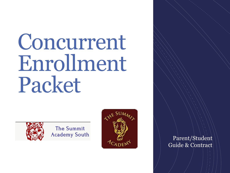# Concurrent Enrollment Packet



The Summit **Academy South** 



Parent/Student Guide & Contract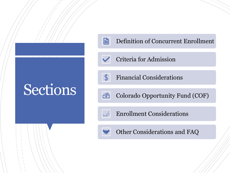# Sections



Definition of Concurrent Enrollment



Criteria for Admission



Financial Considerations



Colorado Opportunity Fund (COF)



Enrollment Considerations



Other Considerations and FAQ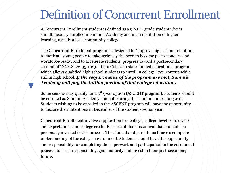#### Definition of Concurrent Enrollment

A Concurrent Enrollment student is defined as a  $9<sup>th</sup>$ -12<sup>th</sup> grade student who is simultaneously enrolled in Summit Academy and in an institution of higher learning, usually a local community college.

The Concurrent Enrollment program is designed to "improve high school retention, to motivate young people to take seriously the need to become postsecondary and workforce-ready, and to accelerate students' progress toward a postsecondary credential" (C.R.S. 22-35-102). It is a Colorado state-funded educational program which allows qualified high school students to enroll in college-level courses while still in high school. *If the requirements of the program are met, Summit Academy will pay the tuition portion of that college education.* 

Some seniors may qualify for a  $5<sup>th</sup>$ -year option (ASCENT program). Students should be enrolled as Summit Academy students during their junior and senior years. Students wishing to be enrolled in the ASCENT program will have the opportunity to declare their intentions in December of the student's senior year.

Concurrent Enrollment involves application to a college, college-level coursework and expectations and college credit. Because of this it is critical that students be personally invested in this process. The student and parent must have a complete understanding of the college environment. Students should have the opportunity and responsibility for completing the paperwork and participation in the enrollment process, to learn responsibility, gain maturity and invest in their post-secondary future.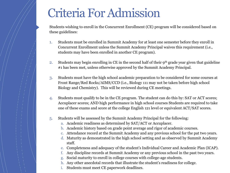### Criteria For Admission

Students wishing to enroll in the Concurrent Enrollment (CE) program will be considered based on these guidelines:

- 1. Students must be enrolled in Summit Academy for at least one semester before they enroll in Concurrent Enrollment unless the Summit Academy Principal waives this requirement (i.e., students may have been enrolled in another CE program).
- 2. Students may begin enrolling in CE in the second half of their  $9<sup>th</sup>$  grade year given that guideline #1 has been met, unless otherwise approved by the Summit Academy Principal.
- 3. Students must have the high school academic preparation to be considered for some courses at Front Range/Red Rocks/AIMS/CCD (i.e., Biology 111 may not be taken before high school Biology and Chemistry). This will be reviewed during CE meetings.
- 4. Students must qualify to be in the CE program. The student can do this by: SAT or ACT scores; Accuplacer scores; AND high performance in high school courses Students are required to take one of these exams and score at the college English 121 level or equivalent ACT/SAT scores.
- 5. Students will be assessed by the Summit Academy Principal for the following:
	- a. Academic readiness as determined by SAT/ACT or Accuplacer.
	- b. Academic history based on grade point average and rigor of academic courses.
	- c. Attendance record at the Summit Academy and any previous school for the pat two years.
	- d. Maturity as demonstrated in the high school setting and as observed by Summit Academy staff.
	- e. Completeness and adequacy of the student's Individual Career and Academic Plan (ICAP).
	- f. Any discipline records at Summit Academy or any previous school in the past two years.
	- Social maturity to enroll in college courses with college-age students.
	- h. Any other anecdotal records that illustrate the student's readiness for college.
	- i. Students must meet CE paperwork deadlines.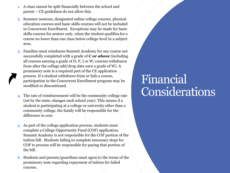- 1. A class cannot be split financially between the school and parent – CE guidelines do not allow this.
- 2. Summer sessions, designated online college courses, physical education courses and basic skills courses will not be included in Concurrent Enrollment. Exceptions may be made for basic skills courses for seniors only, when the student qualifies for a course no lower than one class below college-level in a subject area.
- 3. Families must reimburse Summit Academy for any course not successfully completed with a grade of *C or above* (including all courses earning a grade of D, F, I or W; courses withdrawn from after the college add/drop date earn a grade of W). A promissory note is a required part of the CE application process. If a student withdraws from or fails a course, participation in the Concurrent Enrollment program may be modified or discontinued.
- 4. The rate of reimbursement will be the community college rate (set by the state; changes each school year). This means if a student is participating at a college or university other than a community college, the family will be responsible for the difference in cost.
- 5. As part of the college application process, students must complete a College Opportunity Fund (COF) application. Summit Academy is not responsible for the COF portion of the tuition bill. Students failing to complete necessary steps for COF to process will be responsible for paying that portion of the bill.
- 6. Students and parents/guardians must agree to the terms of the promissory note regarding repayment of tuition for failed courses.

#### Financial Considerations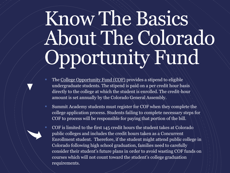# Know The Basics About The Colorado Opportunity Fund

- The [College Opportunity Fund \(COF\)](https://cof.college-assist.org/) provides a stipend to eligible undergraduate students. The stipend is paid on a per credit hour basis directly to the college at which the student is enrolled. The credit-hour amount is set annually by the Colorado General Assembly.
- Summit Academy students must register for COF when they complete the college application process. Students failing to complete necessary steps for COF to process will be responsible for paying that portion of the bill.
- COF is limited to the first 145 credit hours the student takes at Colorado public colleges and includes the credit hours taken as a Concurrent Enrollment student. Therefore, if the student might attend public college in Colorado following high school graduation, families need to carefully consider their student's future plans in order to avoid wasting COF funds on courses which will not count toward the student's college graduation requirements.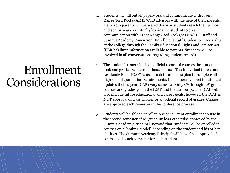#### Enrollment Considerations

- 1. Students will fill out all paperwork and communicate with Front Range/Red Rocks/AIMS/CCD advisors with the help of their parents. Help from parents will be scaled down as students reach their junior and senior years, eventually leaving the student to do all communication with Front Range/Red Rocks/AIMS/CCD staff and Summit Academy Concurrent Enrollment staff. Student privacy rights at the college through the Family Educational Rights and Privacy Act (FERPA) limit information available to parents. Students will be involved in all conversations regarding student records.
- 2. The student's transcript is an official record of courses the student took and grades received in those courses. The Individual Career and Academic Plan (ICAP) is used to determine the plan to complete all high school graduation requirements. It is imperative that the student updates their 4-year ICAP every semester. Only 9<sup>th</sup> through 12<sup>th</sup> grade courses and grades go on the ICAP and the transcript. The ICAP will also include future educational and career goals; however, the ICAP is NOT approval of class choices or an official record of grades. Classes are approved each semester in the conference process.
- 3. Students will be able to enroll in one concurrent enrollment course in the second semester of 9th grade **unless** otherwise approved by the Summit Academy Principal. Beyond that, students will be enrolled in courses on a "scaling model" depending on the student and his or her abilities. The Summit Academy Principal will have final approval of course loads each semester for each student.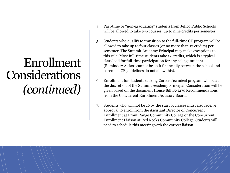## Enrollment Considerations *(continued)*

- 4. Part-time or "non-graduating" students from Jeffco Public Schools will be allowed to take two courses, up to nine credits per semester.
- 5. Students who qualify to transition to the full-time CE program will be allowed to take up to four classes (or no more than 12 credits) per semester. The Summit Academy Principal may make exceptions to this rule. Most full-time students take 12 credits, which is a typical class load for full-time participation for any college student (Reminder: A class cannot be split financially between the school and parents – CE guidelines do not allow this).
- 6. Enrollment for students seeking Career Technical program will be at the discretion of the Summit Academy Principal. Consideration will be given based on the document House Bill 15-1275 Recommendations from the Concurrent Enrollment Advisory Board.
- 7. Students who will not be 16 by the start of classes must also receive approval to enroll from the Assistant Director of Concurrent Enrollment at Front Range Community College or the Concurrent Enrollment Liaison at Red Rocks Community College. Students will need to schedule this meeting with the correct liaison.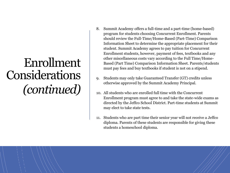## Enrollment Considerations *(continued)*

- 8. Summit Academy offers a full-time and a part-time (home-based) program for students choosing Concurrent Enrollment. Parents should review the Full-Time/Home-Based (Part-Time) Comparison Information Sheet to determine the appropriate placement for their student. Summit Academy agrees to pay tuition for Concurrent Enrollment students, however, payment of fees, textbooks and any other miscellaneous costs vary according to the Full Time/Home-Based (Part Time) Comparison Information Sheet. Parents/students must pay fees and buy textbooks if student is not on a stipend.
- 9. Students may only take Guaranteed Transfer (GT) credits unless otherwise approved by the Summit Academy Principal.
- 10. All students who are enrolled full time with the Concurrent Enrollment program must agree to and take the state-wide exams as directed by the Jeffco School District. Part-time students at Summit may elect to take state tests.
- 11. Students who are part time their senior year will not receive a Jeffco diploma. Parents of these students are responsible for giving these students a homeschool diploma.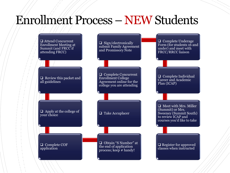#### Enrollment Process – NEWStudents

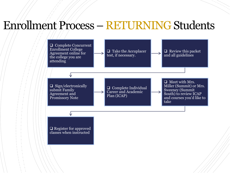#### Enrollment Process – RETURNING Students

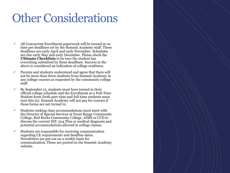## Other Considerations

- $\checkmark$  All Concurrent Enrollment paperwork will be turned in on time per deadlines set by the Summit Academy staff. These deadlines are early April and early November. Schedules are due early May and early December. Please check the **Ultimate Checklists** to be sure the student has everything submitted by these deadlines. Success in the above is considered an indication of college readiness.
- $\checkmark$  Parents and students understand and agree that there will not be more than three students from Summit Academy in any college courses as requested by the community college staff.
- $\checkmark$  By September 15, students must have turned in their official college schedule and the Enrollment as a Full-Time Student form (both part-time and full-time students must turn this in). Summit Academy will not pay for courses if these forms are not turned in.
- $\checkmark$  Students seeking class accommodations must meet with the Director of Special Services at Front Range Community College, Red Rocks Community College, AIMS or CCD to discuss the current IEP, 504 Plan or medical diagnosis and potential accommodations allowed in college classes.
- $\checkmark$  Students are responsible for receiving communication regarding CE requirements and deadline dates. Newsletters are put out on a weekly basis for communication. These are posted on the Summit Academy website.